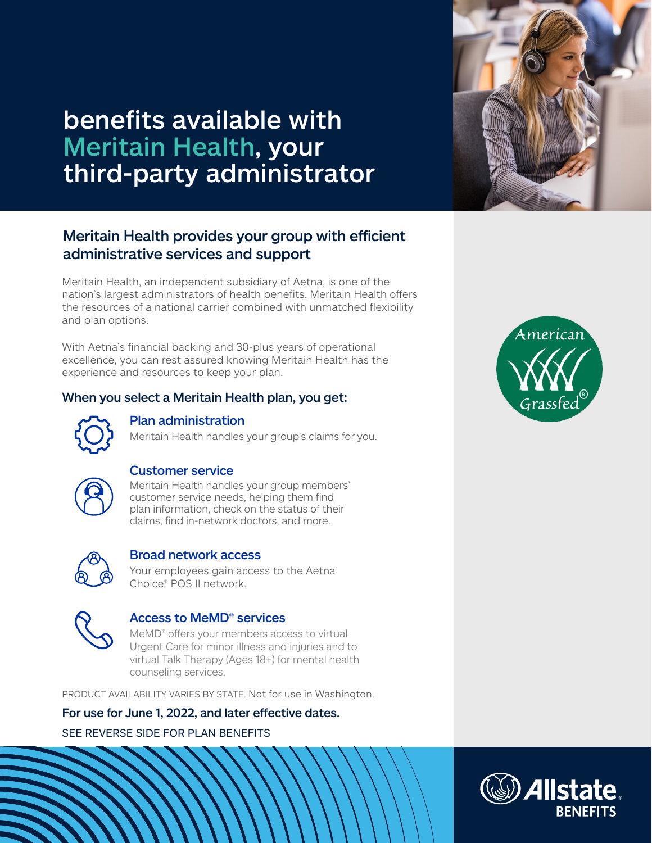

# benefits available with Meritain Health, your third-party administrator

# Meritain Health provides your group with efficient administrative services and support

Meritain Health, an independent subsidiary of Aetna, is one of the nation's largest administrators of health benefits. Meritain Health offers the resources of a national carrier combined with unmatched flexibility and plan options.

With Aetna's financial backing and 30-plus years of operational excellence, you can rest assured knowing Meritain Health has the experience and resources to keep your plan.

## When you select a Meritain Health plan, you get:



## Plan administration

Meritain Health handles your group's claims for you.



# Customer service

Meritain Health handles your group members' customer service needs, helping them find plan information, check on the status of their claims, find in-network doctors, and more.



### Broad network access

Your employees gain access to the Aetna Choice® POS II network.



### Access to MeMD® services

MeMD<sup>®</sup> offers your members access to virtual Urgent Care for minor illness and injuries and to virtual Talk Therapy (Ages 18+) for mental health counseling services.

PRODUCT AVAILABILITY VARIES BY STATE. Not for use in Washington.

For use for June 1, 2022, and later effective dates.

SEE REVERSE SIDE FOR PLAN BENEFITS